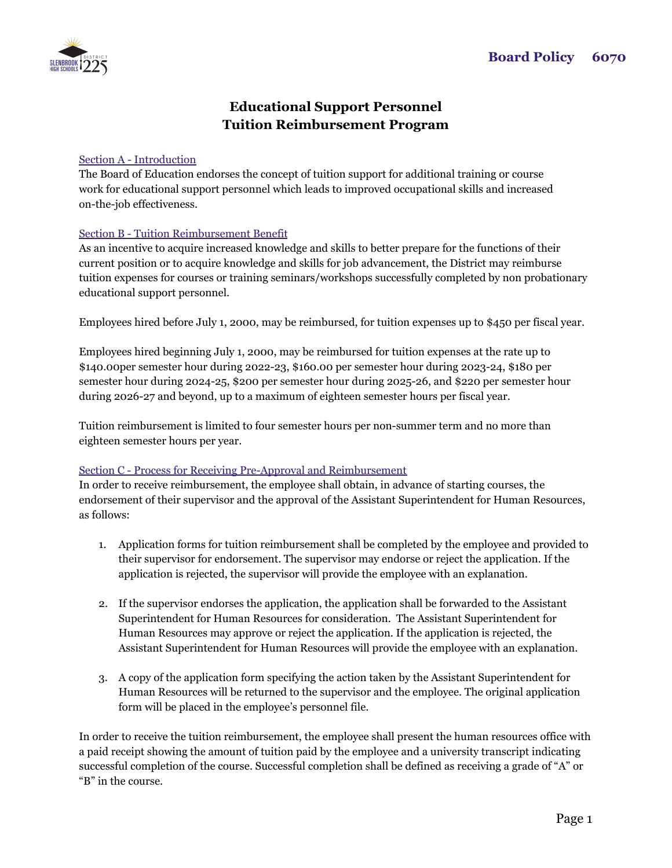

## **Educational Support Personnel Tuition Reimbursement Program**

## Section A - Introduction

The Board of Education endorses the concept of tuition support for additional training or course work for educational support personnel which leads to improved occupational skills and increased on-the-job effectiveness.

## Section B - Tuition Reimbursement Benefit

As an incentive to acquire increased knowledge and skills to better prepare for the functions of their current position or to acquire knowledge and skills for job advancement, the District may reimburse tuition expenses for courses or training seminars/workshops successfully completed by non probationary educational support personnel.

Employees hired before July 1, 2000, may be reimbursed, for tuition expenses up to \$450 per fiscal year.

Employees hired beginning July 1, 2000, may be reimbursed for tuition expenses at the rate up to \$140.00per semester hour during 2022-23, \$160.00 per semester hour during 2023-24, \$180 per semester hour during 2024-25, \$200 per semester hour during 2025-26, and \$220 per semester hour during 2026-27 and beyond, up to a maximum of eighteen semester hours per fiscal year.

Tuition reimbursement is limited to four semester hours per non-summer term and no more than eighteen semester hours per year.

## Section C - Process for Receiving Pre-Approval and Reimbursement

In order to receive reimbursement, the employee shall obtain, in advance of starting courses, the endorsement of their supervisor and the approval of the Assistant Superintendent for Human Resources, as follows:

- 1. Application forms for tuition reimbursement shall be completed by the employee and provided to their supervisor for endorsement. The supervisor may endorse or reject the application. If the application is rejected, the supervisor will provide the employee with an explanation.
- 2. If the supervisor endorses the application, the application shall be forwarded to the Assistant Superintendent for Human Resources for consideration. The Assistant Superintendent for Human Resources may approve or reject the application. If the application is rejected, the Assistant Superintendent for Human Resources will provide the employee with an explanation.
- 3. A copy of the application form specifying the action taken by the Assistant Superintendent for Human Resources will be returned to the supervisor and the employee. The original application form will be placed in the employee's personnel file.

In order to receive the tuition reimbursement, the employee shall present the human resources office with a paid receipt showing the amount of tuition paid by the employee and a university transcript indicating successful completion of the course. Successful completion shall be defined as receiving a grade of "A" or "B" in the course.